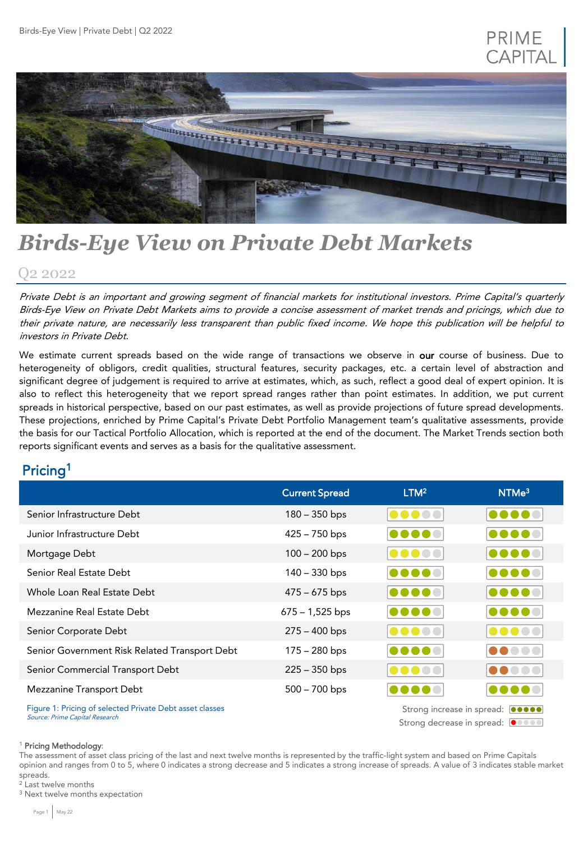## PRIME **CAPITA**



# *Birds-Eye View on Private Debt Markets*

### Q2 2022

Private Debt is an important and growing segment of financial markets for institutional investors. Prime Capital's quarterly Birds-Eye View on Private Debt Markets aims to provide <sup>a</sup> concise assessment of market trends and pricings, which due to their private nature, are necessarily less transparent than public fixed income. We hope this publication will be helpful to investors in Private Debt.

We estimate current spreads based on the wide range of transactions we observe in our course of business. Due to heterogeneity of obligors, credit qualities, structural features, security packages, etc. a certain level of abstraction and significant degree of judgement is required to arrive at estimates, which, as such, reflect a good deal of expert opinion. It is also to reflect this heterogeneity that we report spread ranges rather than point estimates. In addition, we put current spreads in historical perspective, based on our past estimates, as well as provide projections of future spread developments. These projections, enriched by Prime Capital's Private Debt Portfolio Management team's qualitative assessments, provide the basis for our Tactical Portfolio Allocation, which is reported at the end of the document. The Market Trends section both reports significant events and serves as a basis for the qualitative assessment.

### Pricing<sup>1</sup>

|                                                                                            | <b>Current Spread</b>                                                 | LTM <sup>2</sup> | NTMe <sup>3</sup>                             |
|--------------------------------------------------------------------------------------------|-----------------------------------------------------------------------|------------------|-----------------------------------------------|
| Senior Infrastructure Debt                                                                 | $180 - 350$ bps                                                       |                  | 00000                                         |
| Junior Infrastructure Debt                                                                 | $425 - 750$ bps                                                       |                  |                                               |
| Mortgage Debt                                                                              | $100 - 200$ bps                                                       |                  | $  \bullet \bullet \bullet \bullet \bullet  $ |
| Senior Real Estate Debt                                                                    | $140 - 330$ bps                                                       |                  | 00000                                         |
| Whole Loan Real Estate Debt                                                                | $475 - 675$ bps                                                       |                  | $  \bullet \bullet \bullet \bullet \bullet  $ |
| Mezzanine Real Estate Debt                                                                 | $675 - 1,525$ bps                                                     |                  | 00000                                         |
| Senior Corporate Debt                                                                      | $275 - 400$ bps                                                       |                  | $  \bullet \bullet \bullet \bullet \bullet  $ |
| Senior Government Risk Related Transport Debt                                              | 175 – 280 bps                                                         |                  | 00000                                         |
| Senior Commercial Transport Debt                                                           | $225 - 350$ bps                                                       |                  | 00000                                         |
| Mezzanine Transport Debt                                                                   | $500 - 700$ bps                                                       |                  |                                               |
| Figure 1: Pricing of selected Private Debt asset classes<br>Source: Prime Capital Research | Strong increase in spread: 00000<br>Strong decrease in spread:  ●●●●● |                  |                                               |

<sup>1</sup> Pricing Methodology:

The assessment of asset class pricing of the last and next twelve months is represented by the traffic-light system and based on Prime Capitals opinion and ranges from 0 to 5, where 0 indicates a strong decrease and 5 indicates a strong increase of spreads. A value of 3 indicates stable market spreads.

<sup>2</sup> Last twelve months

<sup>3</sup> Next twelve months expectation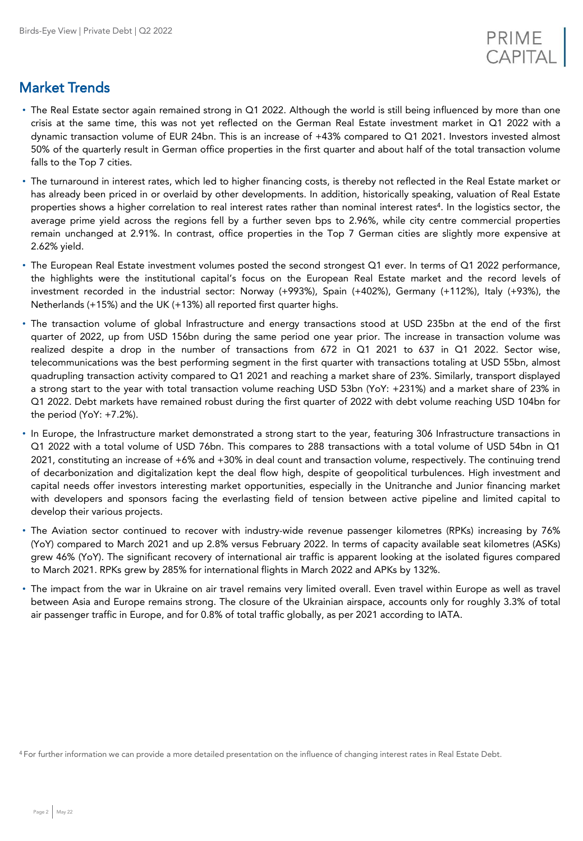

### Market Trends

- The Real Estate sector again remained strong in Q1 2022. Although the world is still being influenced by more than one crisis at the same time, this was not yet reflected on the German Real Estate investment market in Q1 2022 with a dynamic transaction volume of EUR 24bn. This is an increase of +43% compared to Q1 2021. Investors invested almost 50% of the quarterly result in German office properties in the first quarter and about half of the total transaction volume falls to the Top 7 cities.
- The turnaround in interest rates, which led to higher financing costs, is thereby not reflected in the Real Estate market or has already been priced in or overlaid by other developments. In addition, historically speaking, valuation of Real Estate properties shows a higher correlation to real interest rates rather than nominal interest rates<sup>4</sup>. In the logistics sector, the average prime yield across the regions fell by a further seven bps to 2.96%, while city centre commercial properties remain unchanged at 2.91%. In contrast, office properties in the Top 7 German cities are slightly more expensive at 2.62% yield.
- The European Real Estate investment volumes posted the second strongest Q1 ever. In terms of Q1 2022 performance, the highlights were the institutional capital's focus on the European Real Estate market and the record levels of investment recorded in the industrial sector: Norway (+993%), Spain (+402%), Germany (+112%), Italy (+93%), the Netherlands (+15%) and the UK (+13%) all reported first quarter highs.
- The transaction volume of global Infrastructure and energy transactions stood at USD 235bn at the end of the first quarter of 2022, up from USD 156bn during the same period one year prior. The increase in transaction volume was realized despite a drop in the number of transactions from 672 in Q1 2021 to 637 in Q1 2022. Sector wise, telecommunications was the best performing segment in the first quarter with transactions totaling at USD 55bn, almost quadrupling transaction activity compared to Q1 2021 and reaching a market share of 23%. Similarly, transport displayed a strong start to the year with total transaction volume reaching USD 53bn (YoY: +231%) and a market share of 23% in Q1 2022. Debt markets have remained robust during the first quarter of 2022 with debt volume reaching USD 104bn for the period (YoY: +7.2%).
- In Europe, the Infrastructure market demonstrated a strong start to the year, featuring 306 Infrastructure transactions in Q1 2022 with a total volume of USD 76bn. This compares to 288 transactions with a total volume of USD 54bn in Q1 2021, constituting an increase of +6% and +30% in deal count and transaction volume, respectively. The continuing trend of decarbonization and digitalization kept the deal flow high, despite of geopolitical turbulences. High investment and capital needs offer investors interesting market opportunities, especially in the Unitranche and Junior financing market with developers and sponsors facing the everlasting field of tension between active pipeline and limited capital to develop their various projects.
- The Aviation sector continued to recover with industry-wide revenue passenger kilometres (RPKs) increasing by 76% (YoY) compared to March 2021 and up 2.8% versus February 2022. In terms of capacity available seat kilometres (ASKs) grew 46% (YoY). The significant recovery of international air traffic is apparent looking at the isolated figures compared to March 2021. RPKs grew by 285% for international flights in March 2022 and APKs by 132%.
- The impact from the war in Ukraine on air travel remains very limited overall. Even travel within Europe as well as travel between Asia and Europe remains strong. The closure of the Ukrainian airspace, accounts only for roughly 3.3% of total air passenger traffic in Europe, and for 0.8% of total traffic globally, as per 2021 according to IATA.

<sup>4</sup>For further information we can provide a more detailed presentation on the influence of changing interest rates in Real Estate Debt.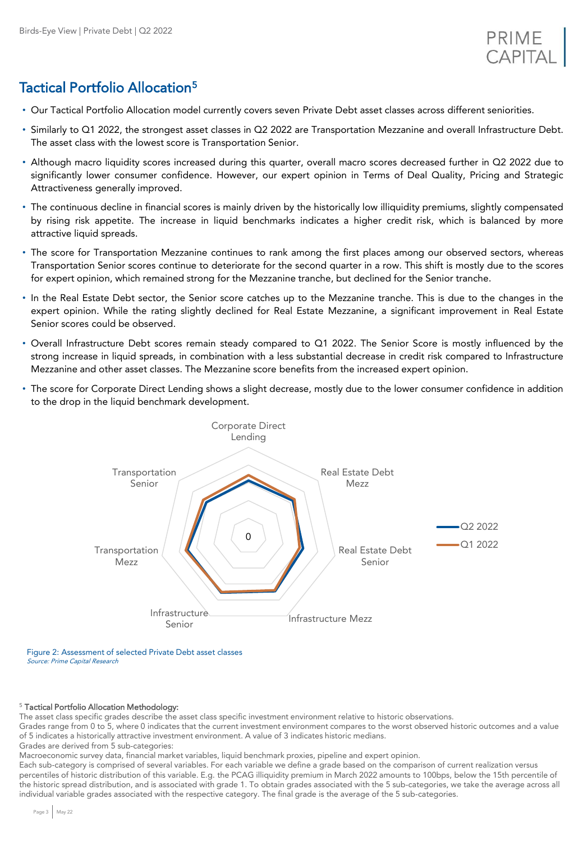### Tactical Portfolio Allocation<sup>5</sup>

- Our Tactical Portfolio Allocation model currently covers seven Private Debt asset classes across different seniorities.
- Similarly to Q1 2022, the strongest asset classes in Q2 2022 are Transportation Mezzanine and overall Infrastructure Debt. The asset class with the lowest score is Transportation Senior.
- Although macro liquidity scores increased during this quarter, overall macro scores decreased further in Q2 2022 due to significantly lower consumer confidence. However, our expert opinion in Terms of Deal Quality, Pricing and Strategic Attractiveness generally improved.
- The continuous decline in financial scores is mainly driven by the historically low illiquidity premiums, slightly compensated by rising risk appetite. The increase in liquid benchmarks indicates a higher credit risk, which is balanced by more attractive liquid spreads.
- The score for Transportation Mezzanine continues to rank among the first places among our observed sectors, whereas Transportation Senior scores continue to deteriorate for the second quarter in a row. This shift is mostly due to the scores for expert opinion, which remained strong for the Mezzanine tranche, but declined for the Senior tranche.
- In the Real Estate Debt sector, the Senior score catches up to the Mezzanine tranche. This is due to the changes in the expert opinion. While the rating slightly declined for Real Estate Mezzanine, a significant improvement in Real Estate Senior scores could be observed.
- Overall Infrastructure Debt scores remain steady compared to Q1 2022. The Senior Score is mostly influenced by the strong increase in liquid spreads, in combination with a less substantial decrease in credit risk compared to Infrastructure Mezzanine and other asset classes. The Mezzanine score benefits from the increased expert opinion.
- The score for Corporate Direct Lending shows a slight decrease, mostly due to the lower consumer confidence in addition to the drop in the liquid benchmark development.



Figure 2: Assessment of selected Private Debt asset classes Source: Prime Capital Research

#### <sup>5</sup> Tactical Portfolio Allocation Methodology:

The asset class specific grades describe the asset class specific investment environment relative to historic observations.

Grades range from 0 to 5, where 0 indicates that the current investment environment compares to the worst observed historic outcomes and a value of 5 indicates a historically attractive investment environment. A value of 3 indicates historic medians.

Grades are derived from 5 sub-categories:

Macroeconomic survey data, financial market variables, liquid benchmark proxies, pipeline and expert opinion.

Each sub-category is comprised of several variables. For each variable we define a grade based on the comparison of current realization versus percentiles of historic distribution of this variable. E.g. the PCAG illiquidity premium in March 2022 amounts to 100bps, below the 15th percentile of the historic spread distribution, and is associated with grade 1. To obtain grades associated with the 5 sub-categories, we take the average across all individual variable grades associated with the respective category. The final grade is the average of the 5 sub-categories.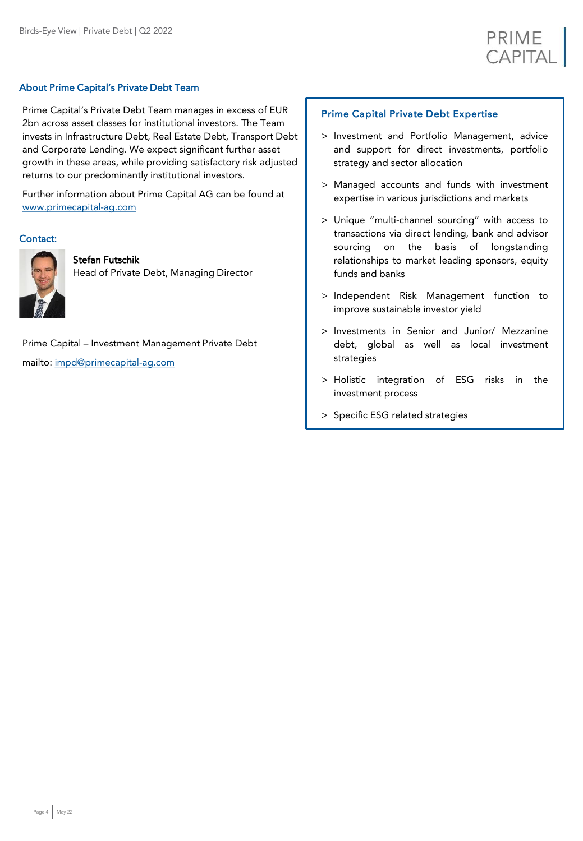

#### About Prime Capital's Private Debt Team

Prime Capital's Private Debt Team manages in excess of EUR 2bn across asset classes for institutional investors. The Team invests in Infrastructure Debt, Real Estate Debt, Transport Debt and Corporate Lending. We expect significant further asset growth in these areas, while providing satisfactory risk adjusted returns to our predominantly institutional investors.

Further information about Prime Capital AG can be found at [www.primecapital-ag.com](http://www.primecapital-ag.com/)

#### Contact:



Stefan Futschik

Head of Private Debt, Managing Director

Prime Capital – Investment Management Private Debt mailto: [impd@primecapital-ag.com](mailto:impd@primecapital-ag.com)

#### Prime Capital Private Debt Expertise

- > Investment and Portfolio Management, advice and support for direct investments, portfolio strategy and sector allocation
- > Managed accounts and funds with investment expertise in various jurisdictions and markets
- > Unique "multi-channel sourcing" with access to transactions via direct lending, bank and advisor sourcing on the basis of longstanding relationships to market leading sponsors, equity funds and banks
- > Independent Risk Management function to improve sustainable investor yield
- > Investments in Senior and Junior/ Mezzanine debt, global as well as local investment strategies
- > Holistic integration of ESG risks in the investment process
- > Specific ESG related strategies